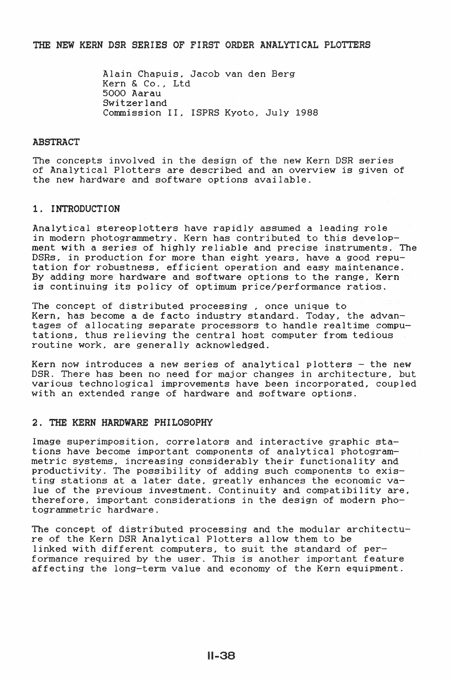# THE NEW KERN DSR SERIES OF FIRST ORDER ANALYTICAL PLOTTERS

Alain Chapuis, Jacob van den Berg Kern & Co. , Ltd 5000 Aarau Switzerland Commission II, ISPRS Kyoto, July 1988

# ABSTRACT

The concepts involved in the design of the new Kern DSR series of Analytical Plotters are described and an overview is given of the new hardware and software options available.

# 1. INTRODUCTION

Analytical stereoplotters have rapidly assumed a leading role in modern photogrammetry. Kern has contributed to this development with a series of highly reliable and precise instruments. The DSRs, in production for more than eight years, have a good reputation for robustness, efficient operation and easy maintenance. By adding more hardware and software options to the range, Kern is continuing its policy of optimum price/performance ratios.

The concept of distributed processing , once unique to Kern. has become a de facto industry standard. Today, the advantages of allocating separate processors to handle realtime computations, thus relieving the central host computer from tedious routine work, are generally acknowledged.

Kern now introduces a new series of analytical plotters  $-$  the new DSR. There has been no need for major changes in architecture, but various technological improvements have been incorporated, coupled with an extended range of hardware and software options.

## 2. THE KERN HARDWARE PHILOSOPHY

Image superimposition, correlators and interactive graphic stations have become important components of analytical photogrammetric systems, increasing considerably their functionality and productivity. The possibility of adding such components to existing stations at a later date, greatly enhances the economic value of the previous investment. Continuity and compatibility are, therefore, important considerations in the design of modern photogrammetric hardware.

The concept of distributed processing and the modular architecture of the Kern DSR Analytical Plotters allow them to be linked with different computers, to suit the standard of performance required by the user. This is another important feature affecting the long-term value and economy of the Kern equipment.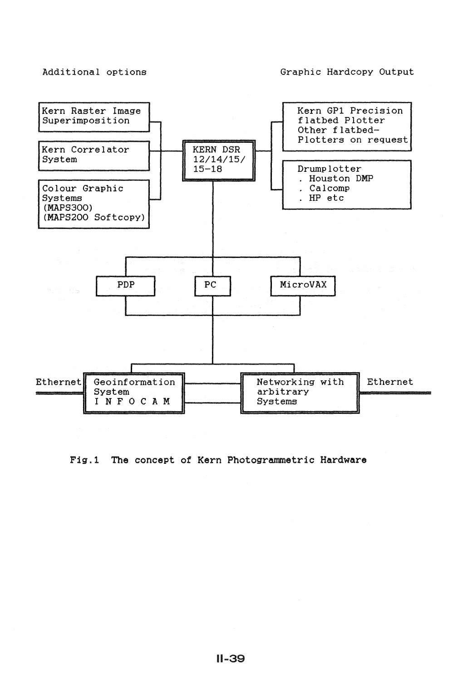# Additional options

# Graphic Hardcopy Output



# Fig.l The concept of Kern Photogrammetric Hardware

11-39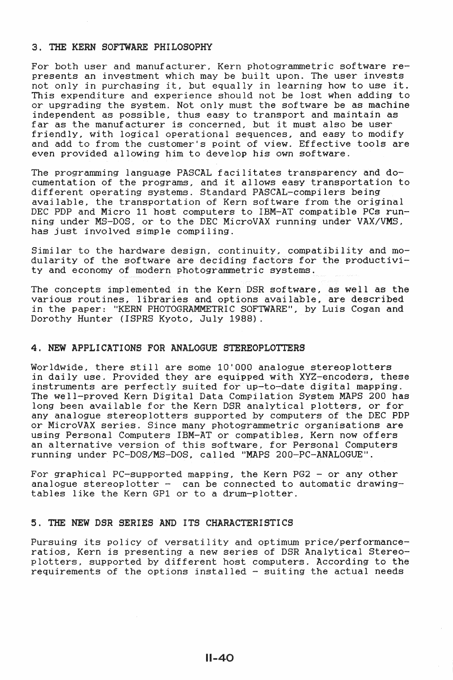# 3. THE KERN SOFTWARE PHILOSOPHY

For both user and manufacturer, Kern photogrammetric software represents an investment which may be built upon. The user invests presents an investment which may be built upon. The user invests<br>not only in purchasing it, but equally in learning how to use it. This expenditure and experience should not be lost when adding to or upgrading the system. Not only must the software be as machine independent as possible, thus easy to transport and maintain as far as the manufacturer is concerned, but it must also be user friendly, with logical operational sequences, and easy to modify and add to from the customer's point of view. Effective tools are even provided allowing him to develop his own software.

The programming language PASCAL facilitates transparency and documentation of the programs, and it allows easy transportation to different operating systems. Standard PASCAL-compilers being available, the transportation of Kern software from the original DEC PDP and Micro 11 host computers to IBM-AT compatible PCs running under MS-DOS, or to the DEC MicroVAX running under VAX/VMS, has just involved simple compiling.

Similar to the hardware design, continuity, compatibility and modularity of the software are deciding factors for the productivity and economy of modern photogrammetric systems.

The concepts implemented in the Kern DSR software, as well as the various routines, libraries and options available, are described in the paper: "KERN PHOTOGRAMMETRIC SOFTWARE", by Luis Cogan and Dorothy Hunter (ISPRS Kyoto, July 1988).

# 4. NEW APPLICATIONS FOR ANALOGUE STEREOPLOTTERS

Worldwide, there still are some 10'000 analogue stereoplotters in daily use. Provided they are equipped with XYZ-encoders, these instruments are perfectly suited for up-to-date digital mapping. The well-proved Kern Digital Data Compilation System MAPS 200 has long been available for the Kern DSR analytical plotters, or for any analogue stereoplotters supported by computers of the DEC PDP or MicroVAX series. Since many photogrammetric organisations are using Personal Computers IBM-AT or compatibles, Kern now offers an alternative version of this software, for Personal Computers running under PC-DOS/MS-DOS. called 11MAPS 200-PC-ANALOGUE''.

For graphical PC-supported mapping, the Kern PG2 - or any other analogue stereoplotter  $-$  can be connected to automatic drawingtables like the Kern GP1 or to a drum-plotter.

# 5. THE NEW DSR SERIES AND ITS CHARACTERISTICS

Pursuing its policy of versatility and optimum price/performanceratios, Kern is presenting a new series of DSR Analytical Stereoplotters, supported by different host computers. According to the requirements of the options installed - suiting the actual needs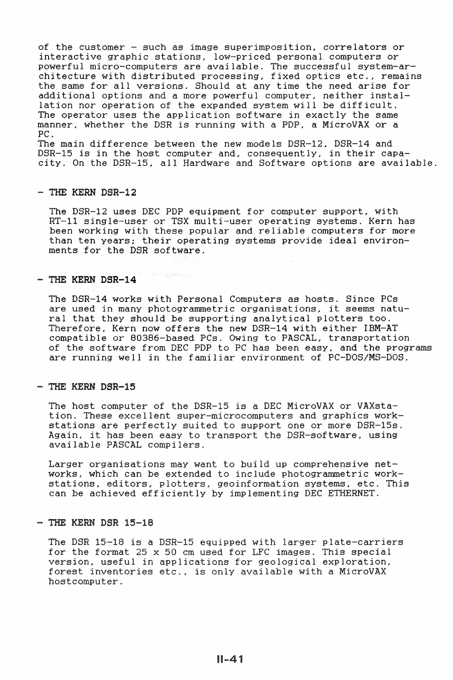of the customer - such as image superimposition, correlators or interactive graphic stations, low-priced personal. computers or powerful micro-computers are available. The successful system-architecture with distributed processing, fixed optics etc., remains the same for all versions. Should at any time the need arise for additional options and a more powerful computer, neither installation nor operation of the expanded system will be difficult. The operator uses the application software in exactly the same manner, whether the DSR is running with a PDP, a MicroVAX or a PC.

The main difference between the new models DSR-12, DSR-14 and DSR-15 is in the host computer and, consequently, in their capacity. On the DSR-15, all Hardware and Software options are available.

#### - THE KERN DSR-12

The DSR-12 uses DEC PDP equipment for computer support, with RT-11 single-user or TSX multi-user operating systems. Kern has been working with these popular and reliable computers for more than ten years; their operating systems provide ideal environments for the DSR software.

# - THE **KERN DSR-14**

The DSR-14 works with Personal Computers as hosts. Since PCs are used in many photogrammetric organisations, it seems natural that they should be supporting analytical plotters too. Therefore, Kern now offers the new DSR-14 with either IBM-AT compatible or 80386-based PCs. Owing to PASCAL, transportation of the software from DEC PDP to PC has been easy, and the programs are running well in the familiar environment of PC-DOS/MS-DOS.

#### - THE KERN DSR-15

The host computer of the DSR-15 is a DEC MicroVAX or VAXstation. These excellent super-microcomputers and graphics workstations are perfectly suited to support one or more DSR-15s. Again, it has been easy to transport the DSR-software, using available PASCAL compilers.

Larger organisations may want to build up comprehensive networks, which can be extended to include photogrammetric workstations, editors, plotters, geoinformation systems, etc. This can be achieved efficiently by implementing DEC ETHERNET.

#### - THE KERN DSR 15-18

The DSR 15-18 is a DSR-15 equipped with larger plate-carriers for the format 25 x 50 em used for LFC images. This special version, useful in applications for geological exploration, forest inventories etc., is only available with a MicroVAX hostcomputer.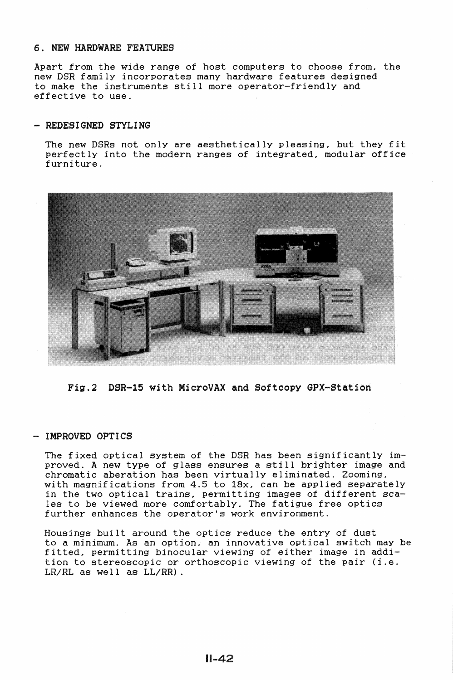# 6. NEW HARDWARE FEATURES

Apart from the wide range of host computers to choose from, the new DSR family incorporates many hardware features designed to make the instruments still more operator-friendly and effective to use.

# - REDESIGNED STYLING

The new DSRs not only are aesthetically pleasing, but they fit perfectly into the modern ranges of integrated, modular office furniture.



Fig.2 DSR-15 with MicroVAX and Softcopy GPX-Station

# - IMPROVED OPTICS

The fixed optical system of the DSR has been significantly improved. A new type of glass ensures a still brighter image and chromatic aberation has been virtually eliminated. Zooming, with magnifications from 4.5 to 18x, can be applied separately in the **two** optical trains, permitting images of different scales to be viewed more comfortably. The fatigue free optics further enhances the operator's work environment.

Housings built around the optics reduce the entry of dust to a minimum. As an option, an innovative optical switch may be fitted, permitting binocular viewing of either image in addition to stereoscopic or orthoscopic viewing of the pair (i.e. LR/RL as well as LL/RR).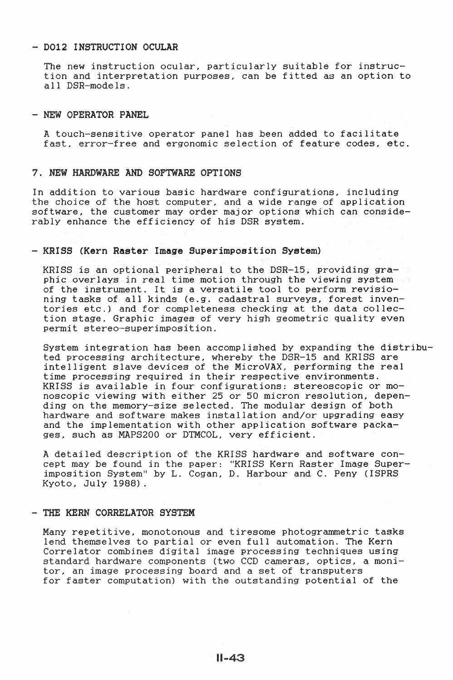# - DO12 INSTRUCTION OCULAR

The new instruction ocular, particularly suitable for instruction and interpretation purposes, can be fitted as an option to all DSR-models.

#### - NEW OPERATOR PANEL

A touch-sensitive operator panel has been added to facilitate fast, error-free and ergonomic selection of feature codes, etc.

# 7. NEW HARDWARE AND SOFTWARE OPTIONS

In addition to various basic hardware configurations, including the choice of the host computer, and a wide range of application software, the customer may order major options which can considerably enhance the efficiency of his DSR system.

# - KRISS (Kern Raster Image Superimposition System)

KRISS is an optional peripheral to the DSR-15. providing graphic overlays in real time motion through the viewing system was of the instrument. It is a versatile tool to perform revisioning tasks of all kinds (e.g. cadastral surveys, forest inventories etc.) and for completeness checking at the data collection stage. Graphic images of very high geometric quality even permit stereo-superimposition.

System integration has been accomplished by expanding the distributed processing architecture, whereby the DSR-15 and KRISS are intelligent slave devices of the MicroVAX, performing the real time processing required in their respective environments. KRISS is available in four configurations: stereoscopic or monoscopic viewing with either 25 or 50 micron resolution, depending on the memory-size selected. The modular design of both hardware and software makes installation and/or upgrading easy and the implementation with other application software packages, such as MAPS200 or DTMCOL, very efficient.

A detailed description of the KRISS hardware and software concept may be found in the paper: "KRISS Kern Raster Image Superimposition System" by L. Cogan, D. Harbour and C. Peny (ISPRS Kyoto, July 1988) .

## - THE KERN CORRELATOR SYSTEM

Many repetitive, monotonous and tiresome photogrammetric tasks lend themselves to partial or even full automation. The Kern Correlator combines digital image processing techniques using standard hardware components (two CCD cameras, optics, a moni-<br>tor, an image processing board and a set of transputers for faster computation) with the outstanding potential of the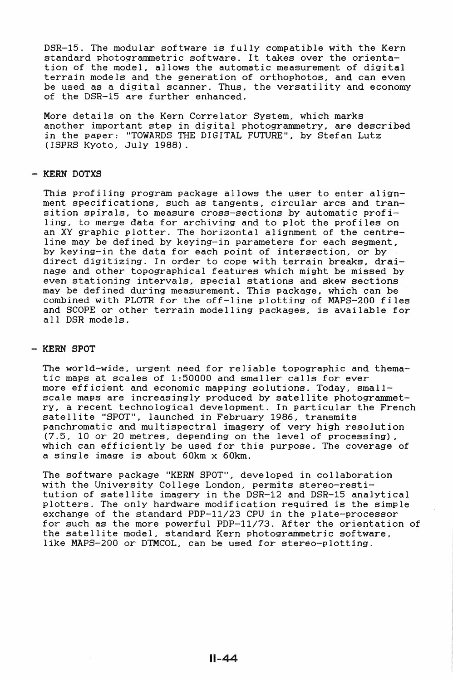DSR-15. The modular software is fully compatible with the Kern standard photogrammetric software. It takes over the orientation of the model, allows the automatic measurement of digital terrain models and the generation of orthophotos, and can even be used as a digital scanner. Thus, the versatility and economy of the DSR-15 are further enhanced.

More details on the Kern Correlator System, which marks another important step in digital photogrammetry, are described in the paper: "TOWARDS THE DIGITAL FUTURE", by Stefan Lutz (!SPRS Kyoto, July 1988).

# - KERN DOTXS

This profiling program package allows the user to enter alignment specifications, such as tangents, circular arcs and transition spirals, to measure cross-sections by automatic profiling, to merge data for archiving and to plot the profiles on an XY graphic plotter. The horizontal alignment of the centreline may be defined by keying-in parameters for each segment, by keying-in the data for each point of intersection, or by direct digitizing. In order to cope with terrain breaks, drainage and other topographical features which might be missed by even stationing intervals, special stations and skew sections may be defined during measurement. This package, which can be combined with PLOTR for the off-line plotting of MAPS-200 files and SCOPE or other terrain modelling packages, is available for all DSR models.

## - KERN SPOT

The world-wide, urgent need for reliable topographic and thematic maps at scales of 1:50000 and smaller calls for ever more efficient and economic mapping solutions. Today, smallscale maps are increasingly produced by satellite photogrammetry, a recent technological development. In particular the French satellite "SPOT", launched in February 1986, transmits panchromatic and multispectral imagery of very high resolution (7.5, 10 or 20 metres, depending on the level of processing), which can efficiently be used for this purpose. The coverage of a single image is about 60km x 60km.

The software package "KERN SPOT", developed in collaboration with the University College London, permits stereo-restitution of satellite imagery in the DSR-12 and DSR-15 analytical plotters. The only hardware modification required is the simple exchange of the standard PDP-11/23 CPU in the plate-processor for such as the more powerful PDP-11/73. After the orientation of the satellite model, standard Kern photogrammetric software, like MAPS-200 or DTMCOL, can be used for stereo-plotting.